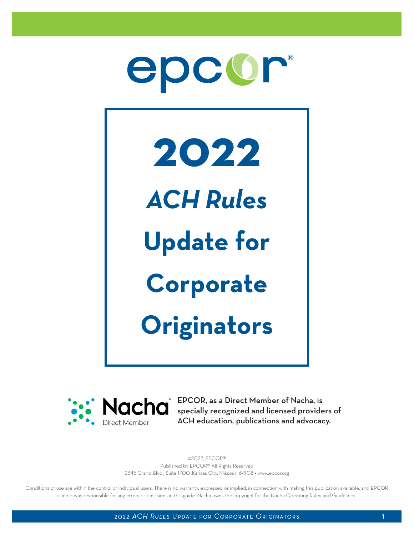



**Nacha** EPCOR, as a Direct Member of Nacha, is<br> **Nacha** specially recognized and licensed provide specially recognized and licensed providers of ACH education, publications and advocacy.

> ©2022, EPCOR® Published by EPCOR® All Rights Reserved 2345 Grand Blvd., Suite 1700, Kansas City, Missouri 64108 • [www.epcor.org](https://www.epcor.org)

Conditions of use are within the control of individual users. There is no warranty, expressed or implied, in connection with making this publication available, and EPCOR is in no way responsible for any errors or omissions in this guide. Nacha owns the copyright for the Nacha Operating Rules and Guidelines.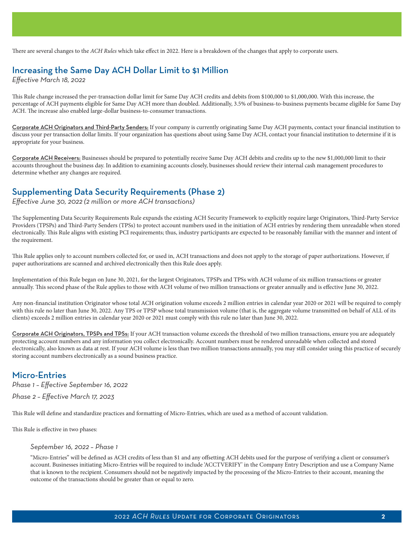There are several changes to the *ACH Rules* which take effect in 2022. Here is a breakdown of the changes that apply to corporate users.

# Increasing the Same Day ACH Dollar Limit to \$1 Million

*Effective March 18, 2022*

This Rule change increased the per-transaction dollar limit for Same Day ACH credits and debits from \$100,000 to \$1,000,000. With this increase, the percentage of ACH payments eligible for Same Day ACH more than doubled. Additionally, 3.5% of business-to-business payments became eligible for Same Day ACH. The increase also enabled large-dollar business-to-consumer transactions.

Corporate ACH Originators and Third-Party Senders: If your company is currently originating Same Day ACH payments, contact your financial institution to discuss your per transaction dollar limits. If your organization has questions about using Same Day ACH, contact your financial institution to determine if it is appropriate for your business.

Corporate ACH Receivers: Businesses should be prepared to potentially receive Same Day ACH debits and credits up to the new \$1,000,000 limit to their accounts throughout the business day. In addition to examining accounts closely, businesses should review their internal cash management procedures to determine whether any changes are required.

### Supplementing Data Security Requirements (Phase 2)

*Effective June 30, 2022 (2 million or more ACH transactions)*

The Supplementing Data Security Requirements Rule expands the existing ACH Security Framework to explicitly require large Originators, Third-Party Service Providers (TPSPs) and Third-Party Senders (TPSs) to protect account numbers used in the initiation of ACH entries by rendering them unreadable when stored electronically. This Rule aligns with existing PCI requirements; thus, industry participants are expected to be reasonably familiar with the manner and intent of the requirement.

This Rule applies only to account numbers collected for, or used in, ACH transactions and does not apply to the storage of paper authorizations. However, if paper authorizations are scanned and archived electronically then this Rule does apply.

Implementation of this Rule began on June 30, 2021, for the largest Originators, TPSPs and TPSs with ACH volume of six million transactions or greater annually. This second phase of the Rule applies to those with ACH volume of two million transactions or greater annually and is effective June 30, 2022.

Any non-financial institution Originator whose total ACH origination volume exceeds 2 million entries in calendar year 2020 or 2021 will be required to comply with this rule no later than June 30, 2022. Any TPS or TPSP whose total transmission volume (that is, the aggregate volume transmitted on behalf of ALL of its clients) exceeds 2 million entries in calendar year 2020 or 2021 must comply with this rule no later than June 30, 2022.

Corporate ACH Originators, TPSPs and TPSs: If your ACH transaction volume exceeds the threshold of two million transactions, ensure you are adequately protecting account numbers and any information you collect electronically. Account numbers must be rendered unreadable when collected and stored electronically, also known as data at rest. If your ACH volume is less than two million transactions annually, you may still consider using this practice of securely storing account numbers electronically as a sound business practice.

# Micro-Entries

*Phase 1 – Effective September 16, 2022*

*Phase 2 – Effective March 17, 2023*

This Rule will define and standardize practices and formatting of Micro-Entries, which are used as a method of account validation.

This Rule is effective in two phases:

### *September 16, 2022 – Phase 1*

"Micro-Entries" will be defined as ACH credits of less than \$1 and any offsetting ACH debits used for the purpose of verifying a client or consumer's account. Businesses initiating Micro-Entries will be required to include 'ACCTVERIFY' in the Company Entry Description and use a Company Name that is known to the recipient. Consumers should not be negatively impacted by the processing of the Micro-Entries to their account, meaning the outcome of the transactions should be greater than or equal to zero.